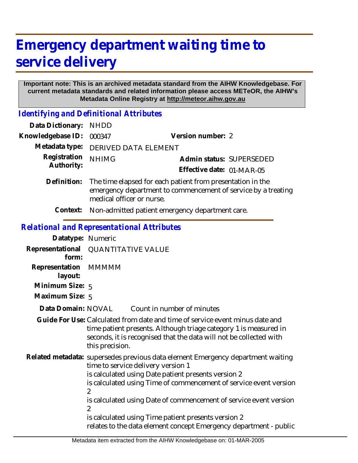## **Emergency department waiting time to service delivery**

## **Important note: This is an archived metadata standard from the AIHW Knowledgebase. For current metadata standards and related information please access METeOR, the AIHW's Metadata Online Registry at http://meteor.aihw.gov.au**

*Identifying and Definitional Attributes*

|                                          | Version number: 2                                                                                                           |                          |  |
|------------------------------------------|-----------------------------------------------------------------------------------------------------------------------------|--------------------------|--|
| Knowledgebase ID:<br>000347              |                                                                                                                             |                          |  |
| Metadata type:                           | DERIVED DATA ELEMENT                                                                                                        |                          |  |
| Registration<br><b>NHIMG</b>             |                                                                                                                             | Admin status: SUPERSEDED |  |
| Authority:                               | Effective date: 01-MAR-05                                                                                                   |                          |  |
| Definition:<br>medical officer or nurse. | The time elapsed for each patient from presentation in the<br>emergency department to commencement of service by a treating |                          |  |
| Context:                                 | Non-admitted patient emergency department care.                                                                             |                          |  |

## *Relational and Representational Attributes*

| Datatype: Numeric                            |                                  |                                                                                                                                                                                                                                                                                                                                                                                                                                                    |
|----------------------------------------------|----------------------------------|----------------------------------------------------------------------------------------------------------------------------------------------------------------------------------------------------------------------------------------------------------------------------------------------------------------------------------------------------------------------------------------------------------------------------------------------------|
| Representational QUANTITATIVE VALUE<br>form: |                                  |                                                                                                                                                                                                                                                                                                                                                                                                                                                    |
| Representation MMMMM<br>layout:              |                                  |                                                                                                                                                                                                                                                                                                                                                                                                                                                    |
| Minimum Size: 5                              |                                  |                                                                                                                                                                                                                                                                                                                                                                                                                                                    |
| Maximum Size: 5                              |                                  |                                                                                                                                                                                                                                                                                                                                                                                                                                                    |
| Data Domain: NOVAL                           |                                  | Count in number of minutes                                                                                                                                                                                                                                                                                                                                                                                                                         |
|                                              | this precision.                  | Guide For Use: Calculated from date and time of service event minus date and<br>time patient presents. Although triage category 1 is measured in<br>seconds, it is recognised that the data will not be collected with                                                                                                                                                                                                                             |
|                                              | $\overline{2}$<br>$\overline{2}$ | Related metadata: supersedes previous data element Emergency department waiting<br>time to service delivery version 1<br>is calculated using Date patient presents version 2<br>is calculated using Time of commencement of service event version<br>is calculated using Date of commencement of service event version<br>is calculated using Time patient presents version 2<br>relates to the data element concept Emergency department - public |